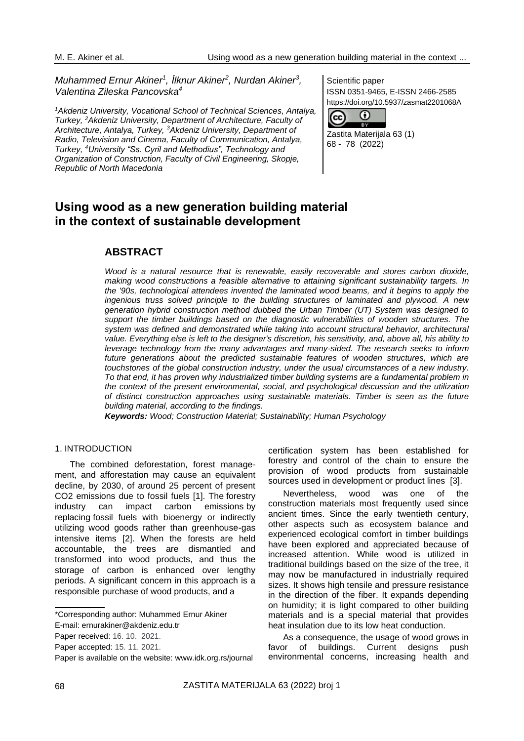$\left( \mathrm{c}\right)$ 

Scientific paper

68 - 78 (2022)

Zastita Materijala 63 (1)

⊙ Ta V

ISSN 0351-9465, E-ISSN 2466-2585 https://doi.org/10.5937/zasmat2201068A

*Muhammed Ernur Akiner<sup>1</sup> , İlknur Akiner<sup>2</sup> , Nurdan Akiner<sup>3</sup> , Valentina Zileska Pancovska<sup>4</sup>*

*<sup>1</sup>Akdeniz University, Vocational School of Technical Sciences, Antalya, Turkey, <sup>2</sup>Akdeniz University, Department of Architecture, Faculty of Architecture, Antalya, Turkey, <sup>3</sup>Akdeniz University, Department of Radio, Television and Cinema, Faculty of Communication, Antalya, Turkey, <sup>4</sup>University "Ss. Cyril and Methodius", Technology and Organization of Construction, Faculty of Civil Engineering, Skopje, Republic of North Macedonia*

**Using wood as a new generation building material in the context of sustainable development**

# **ABSTRACT**

*Wood is a natural resource that is renewable, easily recoverable and stores carbon dioxide, making wood constructions a feasible alternative to attaining significant sustainability targets. In the '90s, technological attendees invented the laminated wood beams, and it begins to apply the ingenious truss solved principle to the building structures of laminated and plywood. A new generation hybrid construction method dubbed the Urban Timber (UT) System was designed to support the timber buildings based on the diagnostic vulnerabilities of wooden structures. The system was defined and demonstrated while taking into account structural behavior, architectural value. Everything else is left to the designer's discretion, his sensitivity, and, above all, his ability to leverage technology from the many advantages and many-sided. The research seeks to inform*  future generations about the predicted sustainable features of wooden structures, which are *touchstones of the global construction industry, under the usual circumstances of a new industry. To that end, it has proven why industrialized timber building systems are a fundamental problem in the context of the present environmental, social, and psychological discussion and the utilization of distinct construction approaches using sustainable materials. Timber is seen as the future building material, according to the findings.*

*Keywords: Wood; Construction Material; Sustainability; Human Psychology*

## 1. INTRODUCTION

The combined deforestation, forest management, and afforestation may cause an equivalent decline, by 2030, of around 25 percent of present CO2 emissions due to fossil fuels [1]. The forestry industry can impact carbon emissions by replacing fossil fuels with bioenergy or indirectly utilizing wood goods rather than greenhouse-gas intensive items [2]. When the forests are held accountable, the trees are dismantled and transformed into wood products, and thus the storage of carbon is enhanced over lengthy periods. A significant concern in this approach is a responsible purchase of wood products, and a

certification system has been established for forestry and control of the chain to ensure the provision of wood products from sustainable sources used in development or product lines [3].

Nevertheless, wood was one of the construction materials most frequently used since ancient times. Since the early twentieth century, other aspects such as ecosystem balance and experienced ecological comfort in timber buildings have been explored and appreciated because of increased attention. While wood is utilized in traditional buildings based on the size of the tree, it may now be manufactured in industrially required sizes. It shows high tensile and pressure resistance in the direction of the fiber. It expands depending on humidity; it is light compared to other building materials and is a special material that provides heat insulation due to its low heat conduction.

As a consequence, the usage of wood grows in favor of buildings. Current designs push environmental concerns, increasing health and

<sup>\*</sup>Corresponding author: Muhammed Ernur Akiner

E-mail: ernurakiner@akdeniz.edu.tr

Paper received: 16. 10. 2021.

Paper accepted: 15. 11. 2021.

Paper is available on the website: [www.idk.org.rs/journal](http://www.idk.org.rs/journal)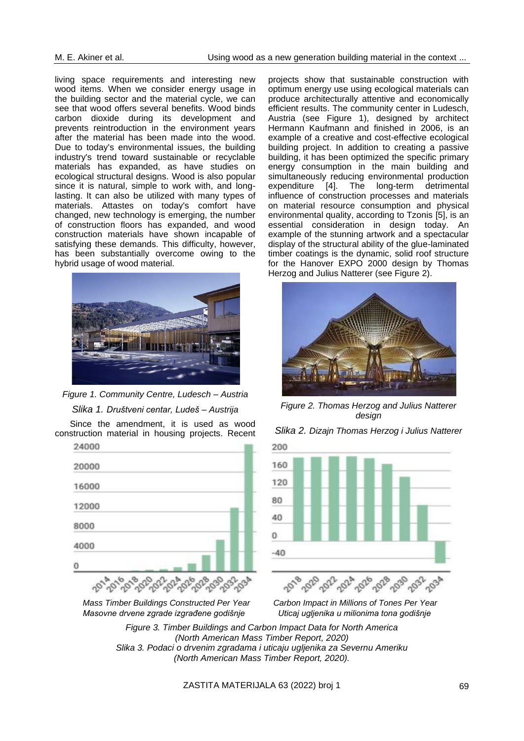living space requirements and interesting new wood items. When we consider energy usage in the building sector and the material cycle, we can see that wood offers several benefits. Wood binds carbon dioxide during its development and prevents reintroduction in the environment years after the material has been made into the wood. Due to today's environmental issues, the building industry's trend toward sustainable or recyclable materials has expanded, as have studies on ecological structural designs. Wood is also popular since it is natural, simple to work with, and longlasting. It can also be utilized with many types of materials. Attastes on today's comfort have changed, new technology is emerging, the number of construction floors has expanded, and wood construction materials have shown incapable of satisfying these demands. This difficulty, however, has been substantially overcome owing to the hybrid usage of wood material.



*Figure 1. Community Centre, Ludesch – Austria Slika 1. Društveni centar, Ludeš – Austrija*

Since the amendment, it is used as wood construction material in housing projects. Recent



 *Masovne drvene zgrade izgrađene godišnje Uticaj ugljenika u milionima tona godišnje*

projects show that sustainable construction with optimum energy use using ecological materials can produce architecturally attentive and economically efficient results. The community center in Ludesch, Austria (see Figure 1), designed by architect Hermann Kaufmann and finished in 2006, is an example of a creative and cost-effective ecological building project. In addition to creating a passive building, it has been optimized the specific primary energy consumption in the main building and simultaneously reducing environmental production expenditure [4]. The long-term detrimental influence of construction processes and materials on material resource consumption and physical environmental quality, according to Tzonis [5], is an essential consideration in design today. An example of the stunning artwork and a spectacular display of the structural ability of the glue-laminated timber coatings is the dynamic, solid roof structure for the Hanover EXPO 2000 design by Thomas Herzog and Julius Natterer (see Figure 2).



*Figure 2. Thomas Herzog and Julius Natterer design*

*Slika 2. Dizajn Thomas Herzog i Julius Natterer*



 *Mass Timber Buildings Constructed Per Year Carbon Impact in Millions of Tones Per Year*

*Figure 3. Timber Buildings and Carbon Impact Data for North America (North American Mass Timber Report, 2020) Slika 3. Podaci o drvenim zgradama i uticaju ugljenika za Severnu Ameriku (North American Mass Timber Report, 2020).*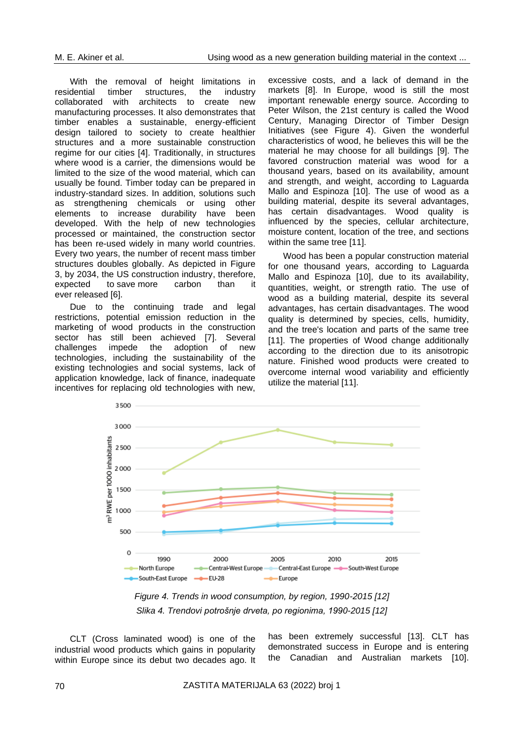With the removal of height limitations in<br>residential timber structures, the industry structures, collaborated with architects to create new manufacturing processes. It also demonstrates that timber enables a sustainable, energy-efficient design tailored to society to create healthier structures and a more sustainable construction regime for our cities [4]. Traditionally, in structures where wood is a carrier, the dimensions would be limited to the size of the wood material, which can usually be found. Timber today can be prepared in industry-standard sizes. In addition, solutions such as strengthening chemicals or using other elements to increase durability have been developed. With the help of new technologies processed or maintained, the construction sector has been re-used widely in many world countries. Every two years, the number of recent mass timber structures doubles globally. As depicted in Figure 3, by 2034, the US construction industry, therefore,<br>expected to save more carbon than it expected to save more carbon than it ever released [6].

Due to the continuing trade and legal restrictions, potential emission reduction in the marketing of wood products in the construction sector has still been achieved [7]. Several challenges impede the adoption of new technologies, including the sustainability of the existing technologies and social systems, lack of application knowledge, lack of finance, inadequate incentives for replacing old technologies with new,

excessive costs, and a lack of demand in the markets [8]. In Europe, wood is still the most important renewable energy source. According to Peter Wilson, the 21st century is called the Wood Century, Managing Director of Timber Design Initiatives (see Figure 4). Given the wonderful characteristics of wood, he believes this will be the material he may choose for all buildings [9]. The favored construction material was wood for a thousand years, based on its availability, amount and strength, and weight, according to Laguarda Mallo and Espinoza [10]. The use of wood as a building material, despite its several advantages, has certain disadvantages. Wood quality is influenced by the species, cellular architecture, moisture content, location of the tree, and sections within the same tree [11].

Wood has been a popular construction material for one thousand years, according to Laguarda Mallo and Espinoza [10], due to its availability, quantities, weight, or strength ratio. The use of wood as a building material, despite its several advantages, has certain disadvantages. The wood quality is determined by species, cells, humidity, and the tree's location and parts of the same tree [11]. The properties of Wood change additionally according to the direction due to its anisotropic nature. Finished wood products were created to overcome internal wood variability and efficiently utilize the material [11].



*Figure 4. Trends in wood consumption, by region, 1990-2015 [12] Slika 4. Trendovi potrošnje drveta, po regionima, 1990-2015 [12]*

CLT (Cross laminated wood) is one of the industrial wood products which gains in popularity within Europe since its debut two decades ago. It has been extremely successful [13]. CLT has demonstrated success in Europe and is entering the Canadian and Australian markets [10].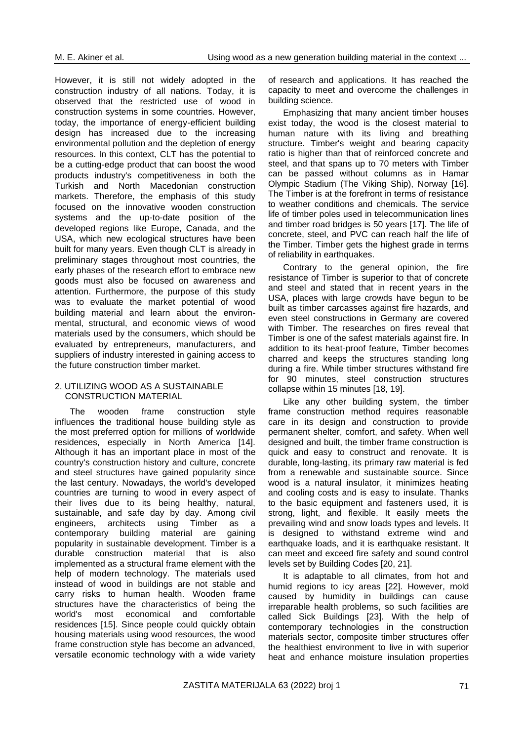However, it is still not widely adopted in the construction industry of all nations. Today, it is observed that the restricted use of wood in construction systems in some countries. However, today, the importance of energy-efficient building design has increased due to the increasing environmental pollution and the depletion of energy resources. In this context, CLT has the potential to be a cutting-edge product that can boost the wood products industry's competitiveness in both the Turkish and North Macedonian construction markets. Therefore, the emphasis of this study focused on the innovative wooden construction systems and the up-to-date position of the developed regions like Europe, Canada, and the USA, which new ecological structures have been built for many years. Even though CLT is already in preliminary stages throughout most countries, the early phases of the research effort to embrace new goods must also be focused on awareness and attention. Furthermore, the purpose of this study was to evaluate the market potential of wood building material and learn about the environmental, structural, and economic views of wood materials used by the consumers, which should be evaluated by entrepreneurs, manufacturers, and suppliers of industry interested in gaining access to the future construction timber market.

#### 2. UTILIZING WOOD AS A SUSTAINABLE CONSTRUCTION MATERIAL

The wooden frame construction style influences the traditional house building style as the most preferred option for millions of worldwide residences, especially in North America [14]. Although it has an important place in most of the country's construction history and culture, concrete and steel structures have gained popularity since the last century. Nowadays, the world's developed countries are turning to wood in every aspect of their lives due to its being healthy, natural, sustainable, and safe day by day. Among civil engineers, architects using Timber as a contemporary building material are gaining popularity in sustainable development. Timber is a durable construction material that is also implemented as a structural frame element with the help of modern technology. The materials used instead of wood in buildings are not stable and carry risks to human health. Wooden frame structures have the characteristics of being the world's most economical and comfortable residences [15]. Since people could quickly obtain housing materials using wood resources, the wood frame construction style has become an advanced, versatile economic technology with a wide variety

of research and applications. It has reached the capacity to meet and overcome the challenges in building science.

Emphasizing that many ancient timber houses exist today, the wood is the closest material to human nature with its living and breathing structure. Timber's weight and bearing capacity ratio is higher than that of reinforced concrete and steel, and that spans up to 70 meters with Timber can be passed without columns as in Hamar Olympic Stadium (The Viking Ship), Norway [16]. The Timber is at the forefront in terms of resistance to weather conditions and chemicals. The service life of timber poles used in telecommunication lines and timber road bridges is 50 years [17]. The life of concrete, steel, and PVC can reach half the life of the Timber. Timber gets the highest grade in terms of reliability in earthquakes.

Contrary to the general opinion, the fire resistance of Timber is superior to that of concrete and steel and stated that in recent years in the USA, places with large crowds have begun to be built as timber carcasses against fire hazards, and even steel constructions in Germany are covered with Timber. The researches on fires reveal that Timber is one of the safest materials against fire. In addition to its heat-proof feature, Timber becomes charred and keeps the structures standing long during a fire. While timber structures withstand fire for 90 minutes, steel construction structures collapse within 15 minutes [18, 19].

Like any other building system, the timber frame construction method requires reasonable care in its design and construction to provide permanent shelter, comfort, and safety. When well designed and built, the timber frame construction is quick and easy to construct and renovate. It is durable, long-lasting, its primary raw material is fed from a renewable and sustainable source. Since wood is a natural insulator, it minimizes heating and cooling costs and is easy to insulate. Thanks to the basic equipment and fasteners used, it is strong, light, and flexible. It easily meets the prevailing wind and snow loads types and levels. It is designed to withstand extreme wind and earthquake loads, and it is earthquake resistant. It can meet and exceed fire safety and sound control levels set by Building Codes [20, 21].

It is adaptable to all climates, from hot and humid regions to icy areas [22]. However, mold caused by humidity in buildings can cause irreparable health problems, so such facilities are called Sick Buildings [23]. With the help of contemporary technologies in the construction materials sector, composite timber structures offer the healthiest environment to live in with superior heat and enhance moisture insulation properties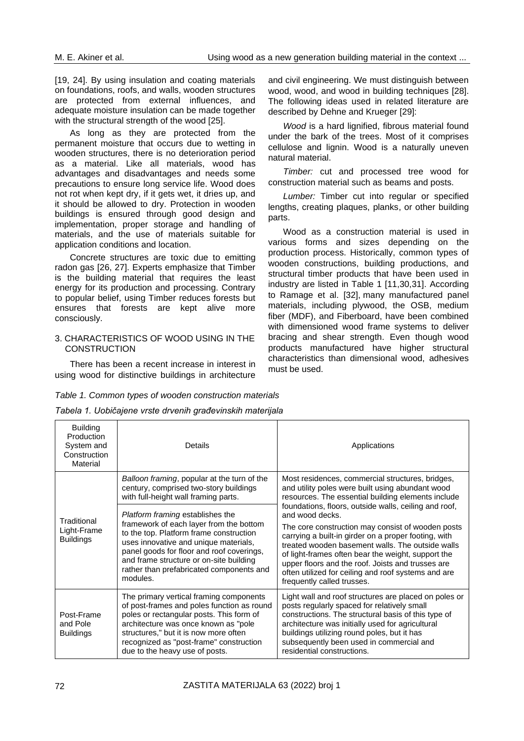[19, 24]. By using insulation and coating materials on foundations, roofs, and walls, wooden structures are protected from external influences, and adequate moisture insulation can be made together with the structural strength of the wood [25].

As long as they are protected from the permanent moisture that occurs due to wetting in wooden structures, there is no deterioration period as a material. Like all materials, wood has advantages and disadvantages and needs some precautions to ensure long service life. Wood does not rot when kept dry, if it gets wet, it dries up, and it should be allowed to dry. Protection in wooden buildings is ensured through good design and implementation, proper storage and handling of materials, and the use of materials suitable for application conditions and location.

Concrete structures are toxic due to emitting radon gas [26, 27]. Experts emphasize that Timber is the building material that requires the least energy for its production and processing. Contrary to popular belief, using Timber reduces forests but ensures that forests are kept alive more consciously.

#### 3. CHARACTERISTICS OF WOOD USING IN THE **CONSTRUCTION**

There has been a recent increase in interest in using wood for distinctive buildings in architecture and civil engineering. We must distinguish between wood, wood, and wood in building techniques [28]. The following ideas used in related literature are described by Dehne and Krueger [29]:

*Wood* is a hard lignified, fibrous material found under the bark of the trees. Most of it comprises cellulose and lignin. Wood is a naturally uneven natural material.

*Timber:* cut and processed tree wood for construction material such as beams and posts.

*Lumber:* Timber cut into regular or specified lengths, creating plaques, planks, or other building parts.

Wood as a construction material is used in various forms and sizes depending on the production process. Historically, common types of wooden constructions, building productions, and structural timber products that have been used in industry are listed in Table 1 [11,30,31]. According to Ramage et al. [32], many manufactured panel materials, including plywood, the OSB, medium fiber (MDF), and Fiberboard, have been combined with dimensioned wood frame systems to deliver bracing and shear strength. Even though wood products manufactured have higher structural characteristics than dimensional wood, adhesives must be used.

#### *Table 1. Common types of wooden construction materials*

| Tabela 1. Uobičajene vrste drvenih građevinskih materijala |
|------------------------------------------------------------|
|------------------------------------------------------------|

| <b>Building</b><br>Production<br>System and<br>Construction<br>Material | Details                                                                                                                                                                                                                                                                                                                | Applications                                                                                                                                                                                                                                                                                                                                                                                                                              |
|-------------------------------------------------------------------------|------------------------------------------------------------------------------------------------------------------------------------------------------------------------------------------------------------------------------------------------------------------------------------------------------------------------|-------------------------------------------------------------------------------------------------------------------------------------------------------------------------------------------------------------------------------------------------------------------------------------------------------------------------------------------------------------------------------------------------------------------------------------------|
|                                                                         | Balloon framing, popular at the turn of the<br>century, comprised two-story buildings<br>with full-height wall framing parts.                                                                                                                                                                                          | Most residences, commercial structures, bridges,<br>and utility poles were built using abundant wood<br>resources. The essential building elements include                                                                                                                                                                                                                                                                                |
| Traditional<br>Light-Frame<br><b>Buildings</b>                          | <i>Platform framing establishes the</i><br>framework of each layer from the bottom<br>to the top. Platform frame construction<br>uses innovative and unique materials,<br>panel goods for floor and roof coverings,<br>and frame structure or on-site building<br>rather than prefabricated components and<br>modules. | foundations, floors, outside walls, ceiling and roof,<br>and wood decks.<br>The core construction may consist of wooden posts<br>carrying a built-in girder on a proper footing, with<br>treated wooden basement walls. The outside walls<br>of light-frames often bear the weight, support the<br>upper floors and the roof. Joists and trusses are<br>often utilized for ceiling and roof systems and are<br>frequently called trusses. |
| Post-Frame<br>and Pole<br><b>Buildings</b>                              | The primary vertical framing components<br>of post-frames and poles function as round<br>poles or rectangular posts. This form of<br>architecture was once known as "pole<br>structures," but it is now more often<br>recognized as "post-frame" construction<br>due to the heavy use of posts.                        | Light wall and roof structures are placed on poles or<br>posts regularly spaced for relatively small<br>constructions. The structural basis of this type of<br>architecture was initially used for agricultural<br>buildings utilizing round poles, but it has<br>subsequently been used in commercial and<br>residential constructions.                                                                                                  |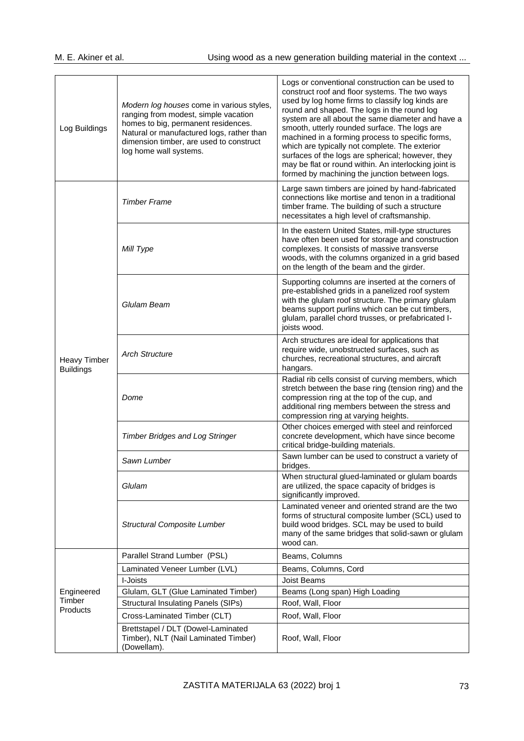| Log Buildings                           | Modern log houses come in various styles,<br>ranging from modest, simple vacation<br>homes to big, permanent residences.<br>Natural or manufactured logs, rather than<br>dimension timber, are used to construct<br>log home wall systems. | Logs or conventional construction can be used to<br>construct roof and floor systems. The two ways<br>used by log home firms to classify log kinds are<br>round and shaped. The logs in the round log<br>system are all about the same diameter and have a<br>smooth, utterly rounded surface. The logs are<br>machined in a forming process to specific forms,<br>which are typically not complete. The exterior<br>surfaces of the logs are spherical; however, they<br>may be flat or round within. An interlocking joint is<br>formed by machining the junction between logs. |  |
|-----------------------------------------|--------------------------------------------------------------------------------------------------------------------------------------------------------------------------------------------------------------------------------------------|-----------------------------------------------------------------------------------------------------------------------------------------------------------------------------------------------------------------------------------------------------------------------------------------------------------------------------------------------------------------------------------------------------------------------------------------------------------------------------------------------------------------------------------------------------------------------------------|--|
|                                         | <b>Timber Frame</b>                                                                                                                                                                                                                        | Large sawn timbers are joined by hand-fabricated<br>connections like mortise and tenon in a traditional<br>timber frame. The building of such a structure<br>necessitates a high level of craftsmanship.                                                                                                                                                                                                                                                                                                                                                                          |  |
|                                         | Mill Type                                                                                                                                                                                                                                  | In the eastern United States, mill-type structures<br>have often been used for storage and construction<br>complexes. It consists of massive transverse<br>woods, with the columns organized in a grid based<br>on the length of the beam and the girder.                                                                                                                                                                                                                                                                                                                         |  |
| <b>Heavy Timber</b><br><b>Buildings</b> | Glulam Beam                                                                                                                                                                                                                                | Supporting columns are inserted at the corners of<br>pre-established grids in a panelized roof system<br>with the glulam roof structure. The primary glulam<br>beams support purlins which can be cut timbers,<br>glulam, parallel chord trusses, or prefabricated I-<br>joists wood.                                                                                                                                                                                                                                                                                             |  |
|                                         | <b>Arch Structure</b>                                                                                                                                                                                                                      | Arch structures are ideal for applications that<br>require wide, unobstructed surfaces, such as<br>churches, recreational structures, and aircraft<br>hangars.                                                                                                                                                                                                                                                                                                                                                                                                                    |  |
|                                         | Dome                                                                                                                                                                                                                                       | Radial rib cells consist of curving members, which<br>stretch between the base ring (tension ring) and the<br>compression ring at the top of the cup, and<br>additional ring members between the stress and<br>compression ring at varying heights.                                                                                                                                                                                                                                                                                                                               |  |
|                                         | <b>Timber Bridges and Log Stringer</b>                                                                                                                                                                                                     | Other choices emerged with steel and reinforced<br>concrete development, which have since become<br>critical bridge-building materials.                                                                                                                                                                                                                                                                                                                                                                                                                                           |  |
|                                         | Sawn Lumber                                                                                                                                                                                                                                | Sawn lumber can be used to construct a variety of<br>bridges.                                                                                                                                                                                                                                                                                                                                                                                                                                                                                                                     |  |
|                                         | Glulam                                                                                                                                                                                                                                     | When structural glued-laminated or glulam boards<br>are utilized, the space capacity of bridges is<br>significantly improved.                                                                                                                                                                                                                                                                                                                                                                                                                                                     |  |
|                                         | <b>Structural Composite Lumber</b>                                                                                                                                                                                                         | Laminated veneer and oriented strand are the two<br>forms of structural composite lumber (SCL) used to<br>build wood bridges. SCL may be used to build<br>many of the same bridges that solid-sawn or glulam<br>wood can.                                                                                                                                                                                                                                                                                                                                                         |  |
|                                         | Parallel Strand Lumber (PSL)                                                                                                                                                                                                               | Beams, Columns                                                                                                                                                                                                                                                                                                                                                                                                                                                                                                                                                                    |  |
|                                         | Laminated Veneer Lumber (LVL)                                                                                                                                                                                                              | Beams, Columns, Cord                                                                                                                                                                                                                                                                                                                                                                                                                                                                                                                                                              |  |
|                                         | I-Joists                                                                                                                                                                                                                                   | Joist Beams                                                                                                                                                                                                                                                                                                                                                                                                                                                                                                                                                                       |  |
| Engineered<br>Timber                    | Glulam, GLT (Glue Laminated Timber)                                                                                                                                                                                                        | Beams (Long span) High Loading                                                                                                                                                                                                                                                                                                                                                                                                                                                                                                                                                    |  |
| Products                                | <b>Structural Insulating Panels (SIPs)</b>                                                                                                                                                                                                 | Roof, Wall, Floor                                                                                                                                                                                                                                                                                                                                                                                                                                                                                                                                                                 |  |
|                                         | Cross-Laminated Timber (CLT)                                                                                                                                                                                                               | Roof, Wall, Floor                                                                                                                                                                                                                                                                                                                                                                                                                                                                                                                                                                 |  |
|                                         | Brettstapel / DLT (Dowel-Laminated<br>Timber), NLT (Nail Laminated Timber)<br>(Dowellam).                                                                                                                                                  | Roof, Wall, Floor                                                                                                                                                                                                                                                                                                                                                                                                                                                                                                                                                                 |  |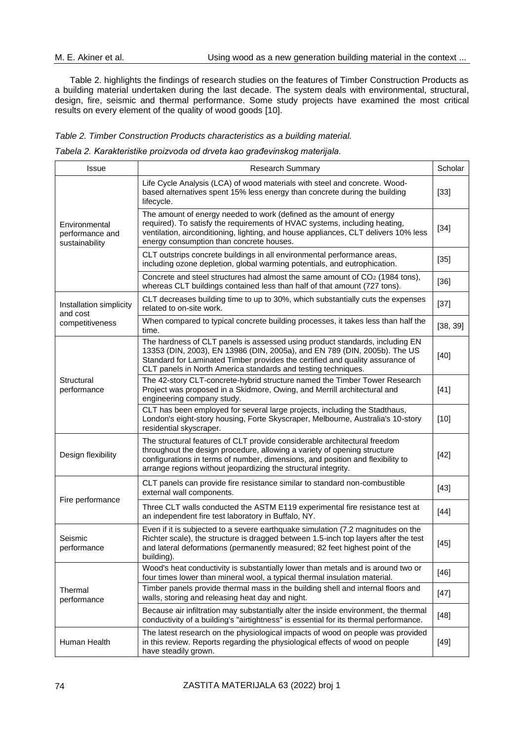Table 2. highlights the findings of research studies on the features of Timber Construction Products as a building material undertaken during the last decade. The system deals with environmental, structural, design, fire, seismic and thermal performance. Some study projects have examined the most critical results on every element of the quality of wood goods [10].

#### *Table 2. Timber Construction Products characteristics as a building material.*

| Tabela 2. Karakteristike proizvoda od drveta kao građevinskog materijala. |  |  |  |  |
|---------------------------------------------------------------------------|--|--|--|--|
|---------------------------------------------------------------------------|--|--|--|--|

| Issue                                              | <b>Research Summary</b>                                                                                                                                                                                                                                                                                     | Scholar  |
|----------------------------------------------------|-------------------------------------------------------------------------------------------------------------------------------------------------------------------------------------------------------------------------------------------------------------------------------------------------------------|----------|
| Environmental<br>performance and<br>sustainability | Life Cycle Analysis (LCA) of wood materials with steel and concrete. Wood-<br>based alternatives spent 15% less energy than concrete during the building<br>lifecycle.                                                                                                                                      | $[33]$   |
|                                                    | The amount of energy needed to work (defined as the amount of energy<br>required). To satisfy the requirements of HVAC systems, including heating,<br>ventilation, airconditioning, lighting, and house appliances, CLT delivers 10% less<br>energy consumption than concrete houses.                       | $[34]$   |
|                                                    | CLT outstrips concrete buildings in all environmental performance areas,<br>including ozone depletion, global warming potentials, and eutrophication.                                                                                                                                                       | $[35]$   |
|                                                    | Concrete and steel structures had almost the same amount of CO <sub>2</sub> (1984 tons),<br>whereas CLT buildings contained less than half of that amount (727 tons).                                                                                                                                       | $[36]$   |
| Installation simplicity<br>and cost                | CLT decreases building time to up to 30%, which substantially cuts the expenses<br>related to on-site work.                                                                                                                                                                                                 | $[37]$   |
| competitiveness                                    | When compared to typical concrete building processes, it takes less than half the<br>time.                                                                                                                                                                                                                  | [38, 39] |
| Structural<br>performance                          | The hardness of CLT panels is assessed using product standards, including EN<br>13353 (DIN, 2003), EN 13986 (DIN, 2005a), and EN 789 (DIN, 2005b). The US<br>Standard for Laminated Timber provides the certified and quality assurance of<br>CLT panels in North America standards and testing techniques. | $[40]$   |
|                                                    | The 42-story CLT-concrete-hybrid structure named the Timber Tower Research<br>Project was proposed in a Skidmore, Owing, and Merrill architectural and<br>engineering company study.                                                                                                                        | $[41]$   |
|                                                    | CLT has been employed for several large projects, including the Stadthaus,<br>London's eight-story housing, Forte Skyscraper, Melbourne, Australia's 10-story<br>residential skyscraper.                                                                                                                    | $[10]$   |
| Design flexibility                                 | The structural features of CLT provide considerable architectural freedom<br>throughout the design procedure, allowing a variety of opening structure<br>configurations in terms of number, dimensions, and position and flexibility to<br>arrange regions without jeopardizing the structural integrity.   | $[42]$   |
| Fire performance                                   | CLT panels can provide fire resistance similar to standard non-combustible<br>external wall components.                                                                                                                                                                                                     | $[43]$   |
|                                                    | Three CLT walls conducted the ASTM E119 experimental fire resistance test at<br>an independent fire test laboratory in Buffalo, NY.                                                                                                                                                                         | $[44]$   |
| Seismic<br>performance                             | Even if it is subjected to a severe earthquake simulation (7.2 magnitudes on the<br>Richter scale), the structure is dragged between 1.5-inch top layers after the test<br>and lateral deformations (permanently measured; 82 feet highest point of the<br>building).                                       | $[45]$   |
| Thermal<br>performance                             | Wood's heat conductivity is substantially lower than metals and is around two or<br>four times lower than mineral wool, a typical thermal insulation material.                                                                                                                                              | $[46]$   |
|                                                    | Timber panels provide thermal mass in the building shell and internal floors and<br>walls, storing and releasing heat day and night.                                                                                                                                                                        | $[47]$   |
|                                                    | Because air infiltration may substantially alter the inside environment, the thermal<br>conductivity of a building's "airtightness" is essential for its thermal performance.                                                                                                                               | $[48]$   |
| Human Health                                       | The latest research on the physiological impacts of wood on people was provided<br>in this review. Reports regarding the physiological effects of wood on people<br>have steadily grown.                                                                                                                    | $[49]$   |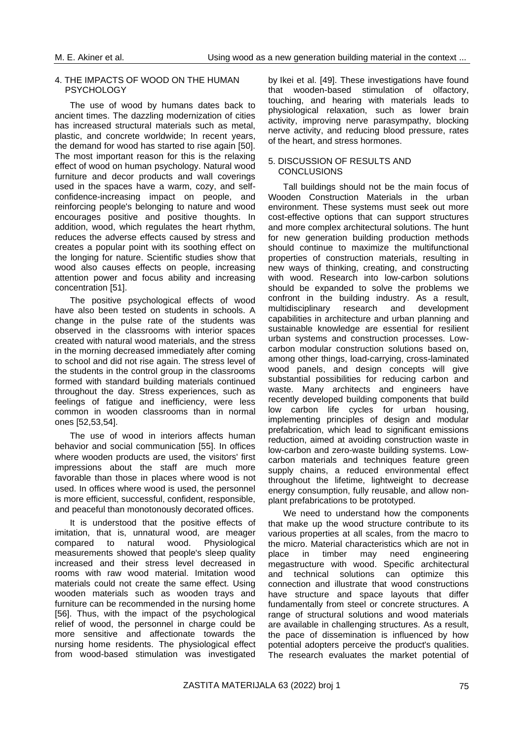#### 4. THE IMPACTS OF WOOD ON THE HUMAN **PSYCHOLOGY**

The use of wood by humans dates back to ancient times. The dazzling modernization of cities has increased structural materials such as metal, plastic, and concrete worldwide; In recent years, the demand for wood has started to rise again [50]. The most important reason for this is the relaxing effect of wood on human psychology. Natural wood furniture and decor products and wall coverings used in the spaces have a warm, cozy, and selfconfidence-increasing impact on people, and reinforcing people's belonging to nature and wood encourages positive and positive thoughts. In addition, wood, which regulates the heart rhythm, reduces the adverse effects caused by stress and creates a popular point with its soothing effect on the longing for nature. Scientific studies show that wood also causes effects on people, increasing attention power and focus ability and increasing concentration [51].

The positive psychological effects of wood have also been tested on students in schools. A change in the pulse rate of the students was observed in the classrooms with interior spaces created with natural wood materials, and the stress in the morning decreased immediately after coming to school and did not rise again. The stress level of the students in the control group in the classrooms formed with standard building materials continued throughout the day. Stress experiences, such as feelings of fatigue and inefficiency, were less common in wooden classrooms than in normal ones [52,53,54].

The use of wood in interiors affects human behavior and social communication [55]. In offices where wooden products are used, the visitors' first impressions about the staff are much more favorable than those in places where wood is not used. In offices where wood is used, the personnel is more efficient, successful, confident, responsible, and peaceful than monotonously decorated offices.

It is understood that the positive effects of imitation, that is, unnatural wood, are meager compared to natural wood. Physiological measurements showed that people's sleep quality increased and their stress level decreased in rooms with raw wood material. Imitation wood materials could not create the same effect. Using wooden materials such as wooden trays and furniture can be recommended in the nursing home [56]. Thus, with the impact of the psychological relief of wood, the personnel in charge could be more sensitive and affectionate towards the nursing home residents. The physiological effect from wood-based stimulation was investigated

by Ikei et al. [49]. These investigations have found that wooden-based stimulation of olfactory, touching, and hearing with materials leads to physiological relaxation, such as lower brain activity, improving nerve parasympathy, blocking nerve activity, and reducing blood pressure, rates of the heart, and stress hormones.

#### 5. DISCUSSION OF RESULTS AND **CONCLUSIONS**

Tall buildings should not be the main focus of Wooden Construction Materials in the urban environment. These systems must seek out more cost-effective options that can support structures and more complex architectural solutions. The hunt for new generation building production methods should continue to maximize the multifunctional properties of construction materials, resulting in new ways of thinking, creating, and constructing with wood. Research into low-carbon solutions should be expanded to solve the problems we confront in the building industry. As a result, multidisciplinary research and development capabilities in architecture and urban planning and sustainable knowledge are essential for resilient urban systems and construction processes. Lowcarbon modular construction solutions based on, among other things, load-carrying, cross-laminated wood panels, and design concepts will give substantial possibilities for reducing carbon and waste. Many architects and engineers have recently developed building components that build low carbon life cycles for urban housing, implementing principles of design and modular prefabrication, which lead to significant emissions reduction, aimed at avoiding construction waste in low-carbon and zero-waste building systems. Lowcarbon materials and techniques feature green supply chains, a reduced environmental effect throughout the lifetime, lightweight to decrease energy consumption, fully reusable, and allow nonplant prefabrications to be prototyped.

We need to understand how the components that make up the wood structure contribute to its various properties at all scales, from the macro to the micro. Material characteristics which are not in place in timber may need engineering megastructure with wood. Specific architectural and technical solutions can optimize this connection and illustrate that wood constructions have structure and space layouts that differ fundamentally from steel or concrete structures. A range of structural solutions and wood materials are available in challenging structures. As a result, the pace of dissemination is influenced by how potential adopters perceive the product's qualities. The research evaluates the market potential of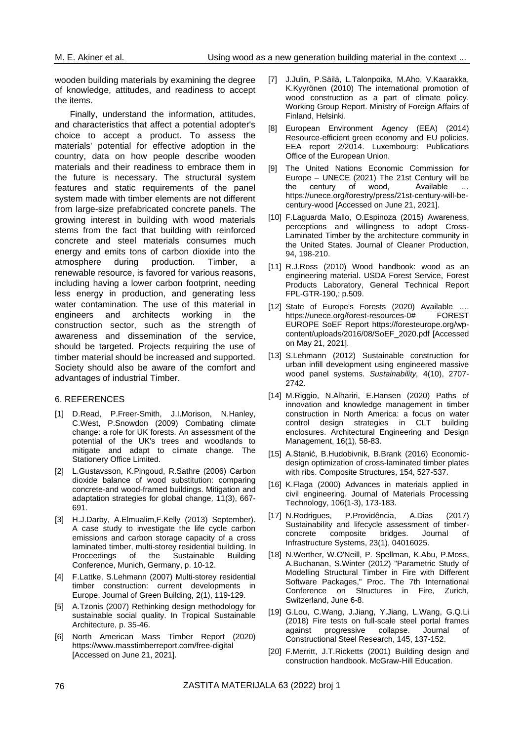wooden building materials by examining the degree of knowledge, attitudes, and readiness to accept the items.

Finally, understand the information, attitudes, and characteristics that affect a potential adopter's choice to accept a product. To assess the materials' potential for effective adoption in the country, data on how people describe wooden materials and their readiness to embrace them in the future is necessary. The structural system features and static requirements of the panel system made with timber elements are not different from large-size prefabricated concrete panels. The growing interest in building with wood materials stems from the fact that building with reinforced concrete and steel materials consumes much energy and emits tons of carbon dioxide into the atmosphere during production. Timber, a renewable resource, is favored for various reasons, including having a lower carbon footprint, needing less energy in production, and generating less water contamination. The use of this material in engineers and architects working in the construction sector, such as the strength of awareness and dissemination of the service, should be targeted. Projects requiring the use of timber material should be increased and supported. Society should also be aware of the comfort and advantages of industrial Timber.

#### 6. REFERENCES

- [1] D.Read, P.Freer-Smith, J.I.Morison, N.Hanley, C.West, P.Snowdon (2009) Combating climate change: a role for UK forests*.* An assessment of the potential of the UK's trees and woodlands to mitigate and adapt to climate change. The Stationery Office Limited.
- [2] L.Gustavsson, K.Pingoud, R.Sathre (2006) Carbon dioxide balance of wood substitution: comparing concrete-and wood-framed buildings. Mitigation and adaptation strategies for global change*,* 11(3), 667- 691.
- [3] H.J.Darby, A.Elmualim,F.Kelly (2013) September). A case study to investigate the life cycle carbon emissions and carbon storage capacity of a cross laminated timber, multi-storey residential building. In Proceedings of the Sustainable Building Conference, Munich, Germany, p. 10-12.
- [4] F.Lattke, S.Lehmann (2007) Multi-storey residential timber construction: current developments in Europe. Journal of Green Building*,* 2(1), 119-129.
- [5] A.Tzonis (2007) Rethinking design methodology for sustainable social quality. In Tropical Sustainable Architecture, p. 35-46.
- [6] North American Mass Timber Report (2020) <https://www.masstimberreport.com/free-digital> [Accessed on June 21, 2021].
- [7] J.Julin, P.Säilä, L.Talonpoika, M.Aho, V.Kaarakka, K.Kyyrönen (2010) The international promotion of wood construction as a part of climate policy. Working Group Report. Ministry of Foreign Affairs of Finland, Helsinki.
- [8] European Environment Agency (EEA) (2014) Resource-efficient green economy and EU policies. EEA report 2/2014. Luxembourg: Publications Office of the European Union.
- [9] The United Nations Economic Commission for Europe – UNECE (2021) The 21st Century will be the century of wood, Available [https://unece.org/forestry/press/21st-century-will-be](https://unece.org/forestry/press/21st-century-will-be-century-wood)[century-wood](https://unece.org/forestry/press/21st-century-will-be-century-wood) [Accessed on June 21, 2021].
- [10] F.Laguarda Mallo, O.Espinoza (2015) Awareness, perceptions and willingness to adopt Cross-Laminated Timber by the architecture community in the United States. Journal of Cleaner Production, 94, 198-210.
- [11] R.J.Ross (2010) Wood handbook: wood as an engineering material. USDA Forest Service, Forest Products Laboratory, General Technical Report FPL-GTR-190,: p.509.
- [12] State of Europe's Forests (2020) Available ... [https://unece.org/forest-resources-0#](https://unece.org/forest-resources-0) FOREST EUROPE SoEF Report [https://foresteurope.org/wp](https://foresteurope.org/wp-content/uploads/2016/08/SoEF_2020.pdf)[content/uploads/2016/08/SoEF\\_2020.pdf](https://foresteurope.org/wp-content/uploads/2016/08/SoEF_2020.pdf) [Accessed on May 21, 2021].
- [13] S.Lehmann (2012) Sustainable construction for urban infill development using engineered massive wood panel systems. *Sustainability,* 4(10), 2707- 2742.
- [14] M.Riggio, N.Alhariri, E.Hansen (2020) Paths of innovation and knowledge management in timber construction in North America: a focus on water control design strategies in CLT building enclosures. Architectural Engineering and Design Management, 16(1), 58-83.
- [15] A.Stanić, B.Hudobivnik, B.Brank (2016) Economicdesign optimization of cross-laminated timber plates with ribs. Composite Structures, 154, 527-537.
- [16] K.Flaga (2000) Advances in materials applied in civil engineering. Journal of Materials Processing Technology, 106(1-3), 173-183.
- [17] N.Rodrigues, P.Providência, A.Dias (2017) Sustainability and lifecycle assessment of timberconcrete composite bridges. Journal of Infrastructure Systems, 23(1), 04016025.
- [18] N.Werther, W.O'Neill, P. Spellman, K.Abu, P.Moss, A.Buchanan, S.Winter (2012) "Parametric Study of Modelling Structural Timber in Fire with Different Software Packages," Proc. The 7th International Conference on Structures in Fire, Zurich, Switzerland, June 6-8.
- [19] G.Lou, C.Wang, J.Jiang, Y.Jiang, L.Wang, G.Q.Li (2018) Fire tests on full-scale steel portal frames against progressive collapse. Journal of Constructional Steel Research, 145, 137-152.
- [20] F.Merritt, J.T.Ricketts (2001) Building design and construction handbook. McGraw-Hill Education.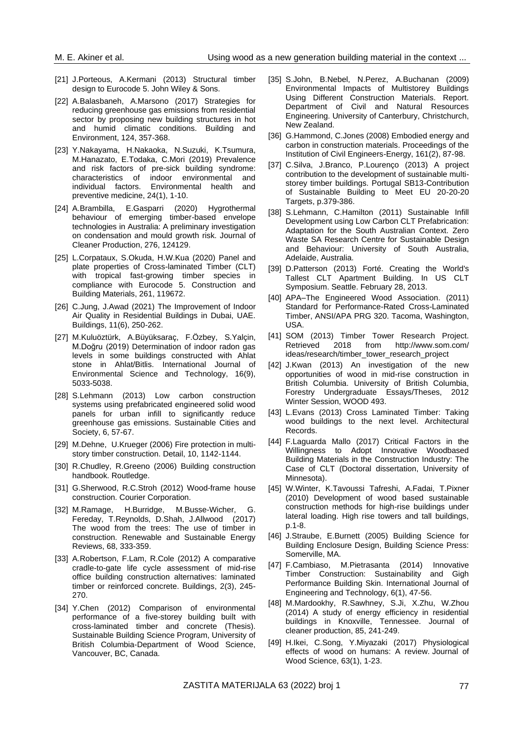- [21] J.Porteous, A.Kermani (2013) Structural timber design to Eurocode 5. John Wiley & Sons.
- [22] A.Balasbaneh, A.Marsono (2017) Strategies for reducing greenhouse gas emissions from residential sector by proposing new building structures in hot and humid climatic conditions. Building and Environment, 124, 357-368.
- [23] Y.Nakayama, H.Nakaoka, N.Suzuki, K.Tsumura, M.Hanazato, E.Todaka, C.Mori (2019) Prevalence and risk factors of pre-sick building syndrome: characteristics of indoor environmental and individual factors. Environmental health and preventive medicine, 24(1), 1-10.
- [24] A.Brambilla, E.Gasparri (2020) Hygrothermal behaviour of emerging timber-based envelope technologies in Australia: A preliminary investigation on condensation and mould growth risk. Journal of Cleaner Production, 276, 124129.
- [25] L.Corpataux, S.Okuda, H.W.Kua (2020) Panel and plate properties of Cross-laminated Timber (CLT) with tropical fast-growing timber species in compliance with Eurocode 5. Construction and Building Materials, 261, 119672.
- [26] C.Jung, J.Awad (2021) The Improvement of Indoor Air Quality in Residential Buildings in Dubai, UAE. Buildings, 11(6), 250-262.
- [27] M.Kuluöztürk, A.Büyüksaraç, F.Özbey, S.Yalçin, M.Doğru (2019) Determination of indoor radon gas levels in some buildings constructed with Ahlat stone in Ahlat/Bitlis. International Journal of Environmental Science and Technology, 16(9), 5033-5038.
- [28] S.Lehmann (2013) Low carbon construction systems using prefabricated engineered solid wood panels for urban infill to significantly reduce greenhouse gas emissions. Sustainable Cities and Society, 6, 57-67.
- [29] M.Dehne, U.Krueger (2006) Fire protection in multistory timber construction. Detail, 10, 1142-1144.
- [30] R.Chudley, R.Greeno (2006) Building construction handbook. Routledge.
- [31] G.Sherwood, R.C.Stroh (2012) Wood-frame house construction. Courier Corporation.
- [32] M.Ramage, H.Burridge, M.Busse-Wicher, G. Fereday, T.Reynolds, D.Shah, J.Allwood (2017) The wood from the trees: The use of timber in construction. Renewable and Sustainable Energy Reviews, 68, 333-359.
- [33] A.Robertson, F.Lam, R.Cole (2012) A comparative cradle-to-gate life cycle assessment of mid-rise office building construction alternatives: laminated timber or reinforced concrete. Buildings, 2(3), 245- 270.
- [34] Y.Chen (2012) Comparison of environmental performance of a five-storey building built with cross-laminated timber and concrete (Thesis). Sustainable Building Science Program, University of British Columbia-Department of Wood Science, Vancouver, BC, Canada.
- [35] S.John, B.Nebel, N.Perez, A.Buchanan (2009) Environmental Impacts of Multistorey Buildings Using Different Construction Materials. Report. Department of Civil and Natural Resources Engineering. University of Canterbury, Christchurch, New Zealand.
- [36] G.Hammond, C.Jones (2008) Embodied energy and carbon in construction materials. Proceedings of the Institution of Civil Engineers-Energy, 161(2), 87-98.
- [37] C.Silva, J.Branco, P.Lourenço (2013) A project contribution to the development of sustainable multistorey timber buildings. Portugal SB13-Contribution of Sustainable Building to Meet EU 20-20-20 Targets, p.379-386.
- [38] S.Lehmann, C.Hamilton (2011) Sustainable Infill Development using Low Carbon CLT Prefabrication: Adaptation for the South Australian Context. Zero Waste SA Research Centre for Sustainable Design and Behaviour: University of South Australia, Adelaide, Australia.
- [39] D.Patterson (2013) Forté. Creating the World's Tallest CLT Apartment Building. In US CLT Symposium. Seattle. February 28, 2013.
- [40] APA–The Engineered Wood Association. (2011) Standard for Performance-Rated Cross-Laminated Timber, ANSI/APA PRG 320. Tacoma, Washington, USA.
- [41] SOM (2013) Timber Tower Research Project.<br>Retrieved 2018 from http://www.som.com/ Retrieved 2018 from [http://www.som.com/](http://www.som.com/%20ideas/research/timber_tower_research_project)  [ideas/research/timber\\_tower\\_research\\_project](http://www.som.com/%20ideas/research/timber_tower_research_project)
- [42] J.Kwan (2013) An investigation of the new opportunities of wood in mid-rise construction in British Columbia. University of British Columbia, Forestry Undergraduate Essays/Theses, 2012 Winter Session, WOOD 493.
- [43] L.Evans (2013) Cross Laminated Timber: Taking wood buildings to the next level. Architectural Records.
- [44] F.Laguarda Mallo (2017) Critical Factors in the Willingness to Adopt Innovative Woodbased Building Materials in the Construction Industry: The Case of CLT (Doctoral dissertation, University of Minnesota).
- [45] W.Winter, K.Tavoussi Tafreshi, A.Fadai, T.Pixner (2010) Development of wood based sustainable construction methods for high-rise buildings under lateral loading. High rise towers and tall buildings, p.1-8.
- [46] J.Straube, E.Burnett (2005) Building Science for Building Enclosure Design, Building Science Press: Somerville, MA.
- [47] F.Cambiaso, M.Pietrasanta (2014) Innovative Timber Construction: Sustainability and Gigh Performance Building Skin. International Journal of Engineering and Technology, 6(1), 47-56.
- [48] M.Mardookhy, R.Sawhney, S.Ji, X.Zhu, W.Zhou (2014) A study of energy efficiency in residential buildings in Knoxville, Tennessee. Journal of cleaner production, 85, 241-249.
- [49] H.Ikei, C.Song, Y.Miyazaki (2017) Physiological effects of wood on humans: A review. Journal of Wood Science, 63(1), 1-23.